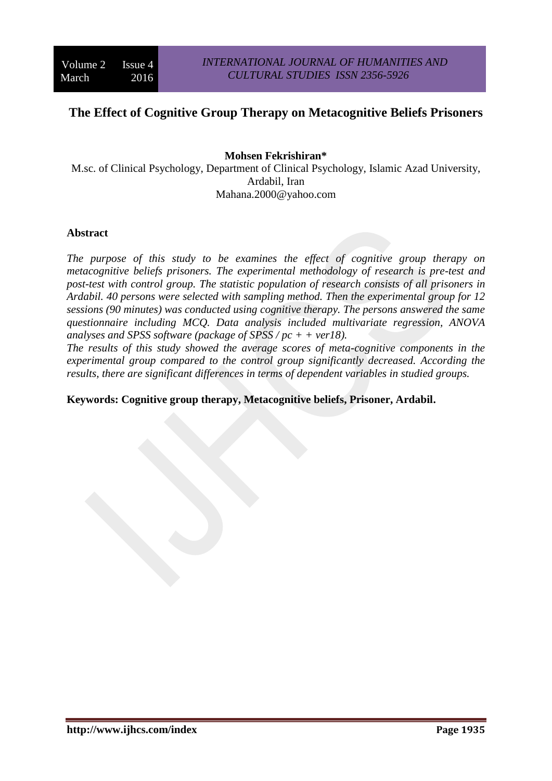# **The Effect of Cognitive Group Therapy on Metacognitive Beliefs Prisoners**

## **Mohsen Fekrishiran\***

M.sc. of Clinical Psychology, Department of Clinical Psychology, Islamic Azad University, Ardabil, Iran Mahana.2000@yahoo.com

### **Abstract**

*The purpose of this study to be examines the effect of cognitive group therapy on metacognitive beliefs prisoners. The experimental methodology of research is pre-test and post-test with control group. The statistic population of research consists of all prisoners in Ardabil. 40 persons were selected with sampling method. Then the experimental group for 12 sessions (90 minutes) was conducted using cognitive therapy. The persons answered the same questionnaire including MCQ. Data analysis included multivariate regression, ANOVA analyses and SPSS software (package of SPSS / pc + + ver18).* 

*The results of this study showed the average scores of meta-cognitive components in the experimental group compared to the control group significantly decreased. According the results, there are significant differences in terms of dependent variables in studied groups.*

### **Keywords: Cognitive group therapy, Metacognitive beliefs, Prisoner, Ardabil.**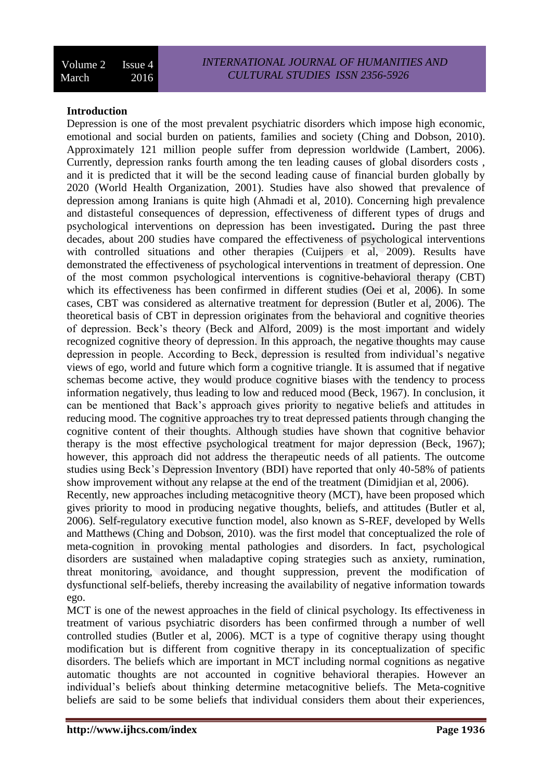# **Introduction**

Depression is one of the most prevalent psychiatric disorders which impose high economic, emotional and social burden on patients, families and society (Ching and Dobson, 2010). Approximately 121 million people suffer from depression worldwide (Lambert, 2006). Currently, depression ranks fourth among the ten leading causes of global disorders costs , and it is predicted that it will be the second leading cause of financial burden globally by 2020 (World Health Organization, 2001). Studies have also showed that prevalence of depression among Iranians is quite high (Ahmadi et al, 2010). Concerning high prevalence and distasteful consequences of depression, effectiveness of different types of drugs and psychological interventions on depression has been investigated**.** During the past three decades, about 200 studies have compared the effectiveness of psychological interventions with controlled situations and other therapies (Cuijpers et al, 2009). Results have demonstrated the effectiveness of psychological interventions in treatment of depression. One of the most common psychological interventions is cognitive-behavioral therapy (CBT) which its effectiveness has been confirmed in different studies (Oei et al, 2006). In some cases, CBT was considered as alternative treatment for depression (Butler et al, 2006). The theoretical basis of CBT in depression originates from the behavioral and cognitive theories of depression. Beck's theory (Beck and Alford, 2009) is the most important and widely recognized cognitive theory of depression. In this approach, the negative thoughts may cause depression in people. According to Beck, depression is resulted from individual's negative views of ego, world and future which form a cognitive triangle. It is assumed that if negative schemas become active, they would produce cognitive biases with the tendency to process information negatively, thus leading to low and reduced mood (Beck, 1967). In conclusion, it can be mentioned that Back's approach gives priority to negative beliefs and attitudes in reducing mood. The cognitive approaches try to treat depressed patients through changing the cognitive content of their thoughts. Although studies have shown that cognitive behavior therapy is the most effective psychological treatment for major depression (Beck, 1967); however, this approach did not address the therapeutic needs of all patients. The outcome studies using Beck's Depression Inventory (BDI) have reported that only 40-58% of patients show improvement without any relapse at the end of the treatment (Dimidjian et al, 2006). Recently, new approaches including metacognitive theory (MCT), have been proposed which

gives priority to mood in producing negative thoughts, beliefs, and attitudes (Butler et al, 2006). Self-regulatory executive function model, also known as S-REF, developed by Wells and Matthews (Ching and Dobson, 2010). was the first model that conceptualized the role of meta-cognition in provoking mental pathologies and disorders. In fact, psychological disorders are sustained when maladaptive coping strategies such as anxiety, rumination, threat monitoring, avoidance, and thought suppression, prevent the modification of dysfunctional self-beliefs, thereby increasing the availability of negative information towards ego.

MCT is one of the newest approaches in the field of clinical psychology. Its effectiveness in treatment of various psychiatric disorders has been confirmed through a number of well controlled studies (Butler et al, 2006). MCT is a type of cognitive therapy using thought modification but is different from cognitive therapy in its conceptualization of specific disorders. The beliefs which are important in MCT including normal cognitions as negative automatic thoughts are not accounted in cognitive behavioral therapies. However an individual's beliefs about thinking determine metacognitive beliefs. The Meta-cognitive beliefs are said to be some beliefs that individual considers them about their experiences,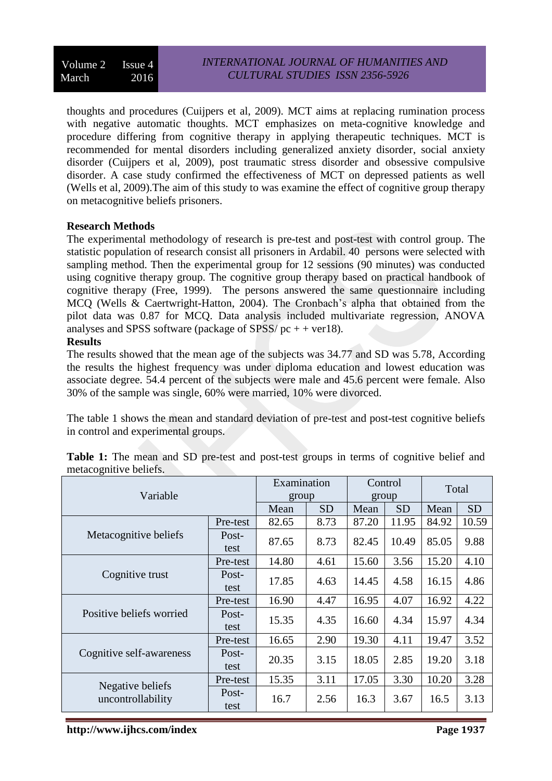thoughts and procedures (Cuijpers et al, 2009). MCT aims at replacing rumination process with negative automatic thoughts. MCT emphasizes on meta-cognitive knowledge and procedure differing from cognitive therapy in applying therapeutic techniques. MCT is recommended for mental disorders including generalized anxiety disorder, social anxiety disorder (Cuijpers et al, 2009), post traumatic stress disorder and obsessive compulsive disorder. A case study confirmed the effectiveness of MCT on depressed patients as well (Wells et al, 2009).The aim of this study to was examine the effect of cognitive group therapy on metacognitive beliefs prisoners.

# **Research Methods**

The experimental methodology of research is pre-test and post-test with control group. The statistic population of research consist all prisoners in Ardabil. 40 persons were selected with sampling method. Then the experimental group for 12 sessions (90 minutes) was conducted using cognitive therapy group. The cognitive group therapy based on practical handbook of cognitive therapy (Free, 1999). The persons answered the same questionnaire including MCQ (Wells & Caertwright-Hatton, 2004). The Cronbach's alpha that obtained from the pilot data was 0.87 for MCQ. Data analysis included multivariate regression, ANOVA analyses and SPSS software (package of SPSS/ $pc + +$  ver18).

# **Results**

The results showed that the mean age of the subjects was 34.77 and SD was 5.78, According the results the highest frequency was under diploma education and lowest education was associate degree. 54.4 percent of the subjects were male and 45.6 percent were female. Also 30% of the sample was single, 60% were married, 10% were divorced.

The table 1 shows the mean and standard deviation of pre-test and post-test cognitive beliefs in control and experimental groups.

| Variable                 | Examination<br>group |           | Control<br>group |           | Total |           |       |
|--------------------------|----------------------|-----------|------------------|-----------|-------|-----------|-------|
|                          | Mean                 | <b>SD</b> | Mean             | <b>SD</b> | Mean  | <b>SD</b> |       |
|                          | Pre-test             | 82.65     | 8.73             | 87.20     | 11.95 | 84.92     | 10.59 |
| Metacognitive beliefs    | Post-<br>test        | 87.65     | 8.73             | 82.45     | 10.49 | 85.05     | 9.88  |
|                          | Pre-test             | 14.80     | 4.61             | 15.60     | 3.56  | 15.20     | 4.10  |
| Cognitive trust          | Post-<br>test        | 17.85     | 4.63             | 14.45     | 4.58  | 16.15     | 4.86  |
|                          | Pre-test             | 16.90     | 4.47             | 16.95     | 4.07  | 16.92     | 4.22  |
| Positive beliefs worried | Post-<br>test        | 15.35     | 4.35             | 16.60     | 4.34  | 15.97     | 4.34  |
|                          | Pre-test             | 16.65     | 2.90             | 19.30     | 4.11  | 19.47     | 3.52  |
| Cognitive self-awareness | Post-<br>test        | 20.35     | 3.15             | 18.05     | 2.85  | 19.20     | 3.18  |
| Negative beliefs         | Pre-test             | 15.35     | 3.11             | 17.05     | 3.30  | 10.20     | 3.28  |
| uncontrollability        | Post-<br>test        | 16.7      | 2.56             | 16.3      | 3.67  | 16.5      | 3.13  |

**Table 1:** The mean and SD pre-test and post-test groups in terms of cognitive belief and metacognitive beliefs.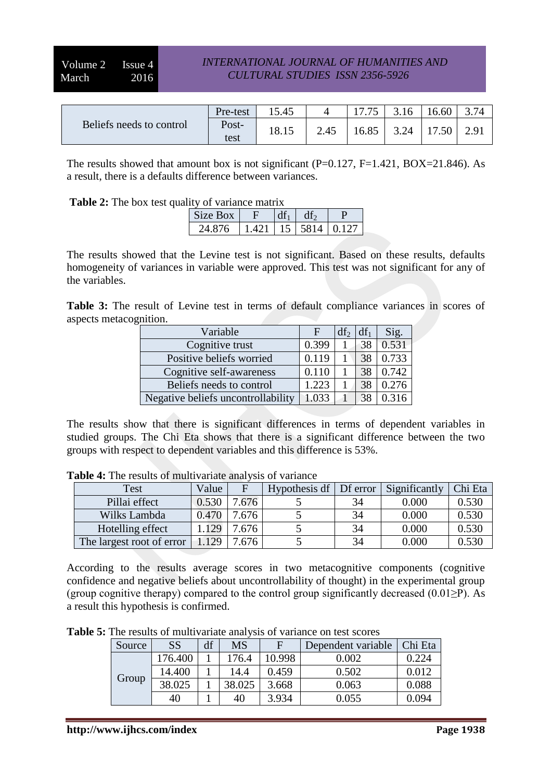|                          | Pre-test      | 15.45 |      | 1775 | 3.16 | 6.60 | 374  |
|--------------------------|---------------|-------|------|------|------|------|------|
| Beliefs needs to control | Post-<br>test | 18.15 | 2.45 | 6.85 | 3.24 |      | 2.91 |

The results showed that amount box is not significant (P=0.127, F=1.421, BOX=21.846). As a result, there is a defaults difference between variances.

**Table 2:** The box test quality of variance matrix

| .<br>$\cdot$ .<br>$\frac{1}{2}$ |              |  |      |       |  |  |  |  |  |
|---------------------------------|--------------|--|------|-------|--|--|--|--|--|
| Size Box                        |              |  |      |       |  |  |  |  |  |
| 876<br>$2\pi$ .                 | $\Lambda$ 21 |  | 5814 | A 127 |  |  |  |  |  |

The results showed that the Levine test is not significant. Based on these results, defaults homogeneity of variances in variable were approved. This test was not significant for any of the variables.

**Table 3:** The result of Levine test in terms of default compliance variances in scores of aspects metacognition.

| Variable                           | F     | df <sub>2</sub> | $df_1$ | Sig.  |
|------------------------------------|-------|-----------------|--------|-------|
| Cognitive trust                    | 0.399 |                 | 38     | 0.531 |
| Positive beliefs worried           | 0.119 |                 | 38     | 0.733 |
| Cognitive self-awareness           | 0.110 |                 | 38     | 0.742 |
| Beliefs needs to control           | 1.223 |                 |        | 0.276 |
| Negative beliefs uncontrollability | 1.033 |                 |        |       |

The results show that there is significant differences in terms of dependent variables in studied groups. The Chi Eta shows that there is a significant difference between the two groups with respect to dependent variables and this difference is 53%.

| Test                      | Value |      | Hypothesis df | Df error | Significantly | Chi Eta |
|---------------------------|-------|------|---------------|----------|---------------|---------|
| Pillai effect             | 0.530 | .676 |               | 34       | 0.000         | 0.530   |
| Wilks Lambda              | 0.470 | .676 |               | 34       | 0.000         | 0.530   |
| Hotelling effect          | 129   | .676 |               | 34       | 0.000         | 0.530   |
| The largest root of error | 1.129 | .676 |               | 34       | $0.000\,$     | 0.530   |

**Table 4:** The results of multivariate analysis of variance

According to the results average scores in two metacognitive components (cognitive confidence and negative beliefs about uncontrollability of thought) in the experimental group (group cognitive therapy) compared to the control group significantly decreased  $(0.01 \ge P)$ . As a result this hypothesis is confirmed.

**Table 5:** The results of multivariate analysis of variance on test scores

| Source | <b>SS</b> | df              | MS     |       | Dependent variable | Chi Eta |
|--------|-----------|-----------------|--------|-------|--------------------|---------|
|        | 176.400   | 176.4<br>10.998 | 0.002  | 0.224 |                    |         |
|        | 14.400    |                 | 14.4   | 0.459 | 0.502              | 0.012   |
| Group  | 38.025    |                 | 38.025 | 3.668 | 0.063              | 0.088   |
|        | 40        |                 | 40     | 3.934 | 0.055              | 0 094   |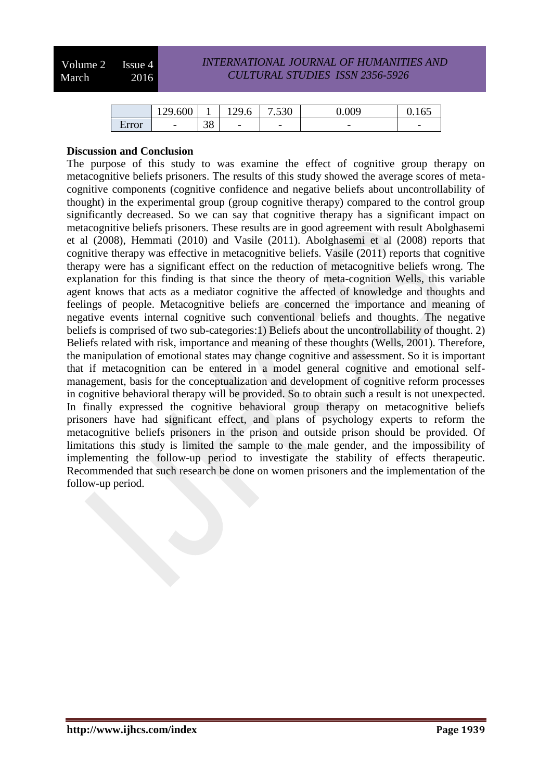Volume 2 Issue 4 March 2016

### *INTERNATIONAL JOURNAL OF HUMANITIES AND CULTURAL STUDIES ISSN 2356-5926*

|       | 129.600                  | <b>.</b>        | 129.6                    | 7.530                    | 0.009                    | v. 1 v.                  |
|-------|--------------------------|-----------------|--------------------------|--------------------------|--------------------------|--------------------------|
| Error | $\overline{\phantom{a}}$ | $\Omega$<br>IJΟ | $\overline{\phantom{0}}$ | $\overline{\phantom{0}}$ | $\overline{\phantom{0}}$ | $\overline{\phantom{a}}$ |

#### **Discussion and Conclusion**

The purpose of this study to was examine the effect of cognitive group therapy on metacognitive beliefs prisoners. The results of this study showed the average scores of metacognitive components (cognitive confidence and negative beliefs about uncontrollability of thought) in the experimental group (group cognitive therapy) compared to the control group significantly decreased. So we can say that cognitive therapy has a significant impact on metacognitive beliefs prisoners. These results are in good agreement with result Abolghasemi et al (2008), Hemmati (2010) and Vasile (2011). Abolghasemi et al (2008) reports that cognitive therapy was effective in metacognitive beliefs. Vasile (2011) reports that cognitive therapy were has a significant effect on the reduction of metacognitive beliefs wrong. The explanation for this finding is that since the theory of meta-cognition Wells, this variable agent knows that acts as a mediator cognitive the affected of knowledge and thoughts and feelings of people. Metacognitive beliefs are concerned the importance and meaning of negative events internal cognitive such conventional beliefs and thoughts. The negative beliefs is comprised of two sub-categories:1) Beliefs about the uncontrollability of thought. 2) Beliefs related with risk, importance and meaning of these thoughts (Wells, 2001). Therefore, the manipulation of emotional states may change cognitive and assessment. So it is important that if metacognition can be entered in a model general cognitive and emotional selfmanagement, basis for the conceptualization and development of cognitive reform processes in cognitive behavioral therapy will be provided. So to obtain such a result is not unexpected. In finally expressed the cognitive behavioral group therapy on metacognitive beliefs prisoners have had significant effect, and plans of psychology experts to reform the metacognitive beliefs prisoners in the prison and outside prison should be provided. Of limitations this study is limited the sample to the male gender, and the impossibility of implementing the follow-up period to investigate the stability of effects therapeutic. Recommended that such research be done on women prisoners and the implementation of the follow-up period.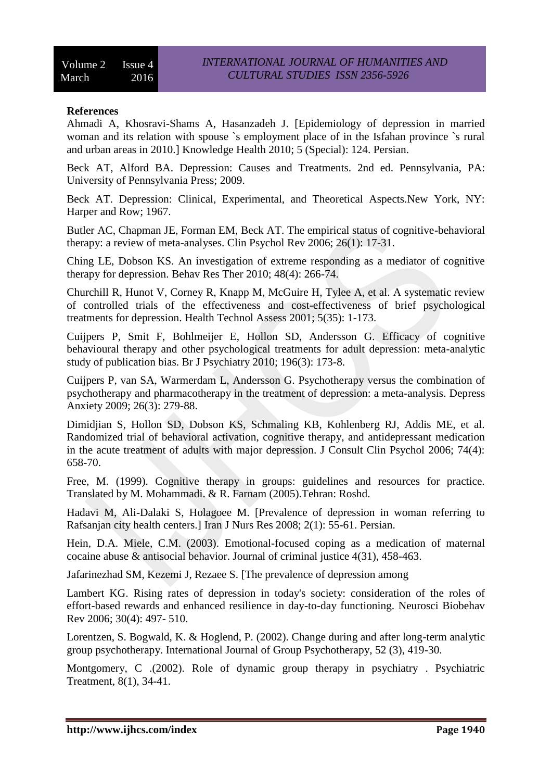## **References**

Ahmadi A, Khosravi-Shams A, Hasanzadeh J. [Epidemiology of depression in married woman and its relation with spouse `s employment place of in the Isfahan province `s rural and urban areas in 2010.] Knowledge Health 2010; 5 (Special): 124. Persian.

Beck AT, Alford BA. Depression: Causes and Treatments. 2nd ed. Pennsylvania, PA: University of Pennsylvania Press; 2009.

Beck AT. Depression: Clinical, Experimental, and Theoretical Aspects.New York, NY: Harper and Row; 1967.

Butler AC, Chapman JE, Forman EM, Beck AT. The empirical status of cognitive-behavioral therapy: a review of meta-analyses. Clin Psychol Rev 2006; 26(1): 17-31.

Ching LE, Dobson KS. An investigation of extreme responding as a mediator of cognitive therapy for depression. Behav Res Ther 2010; 48(4): 266-74.

Churchill R, Hunot V, Corney R, Knapp M, McGuire H, Tylee A, et al. A systematic review of controlled trials of the effectiveness and cost-effectiveness of brief psychological treatments for depression. Health Technol Assess 2001; 5(35): 1-173.

Cuijpers P, Smit F, Bohlmeijer E, Hollon SD, Andersson G. Efficacy of cognitive behavioural therapy and other psychological treatments for adult depression: meta-analytic study of publication bias. Br J Psychiatry 2010; 196(3): 173-8.

Cuijpers P, van SA, Warmerdam L, Andersson G. Psychotherapy versus the combination of psychotherapy and pharmacotherapy in the treatment of depression: a meta-analysis. Depress Anxiety 2009; 26(3): 279-88.

Dimidjian S, Hollon SD, Dobson KS, Schmaling KB, Kohlenberg RJ, Addis ME, et al. Randomized trial of behavioral activation, cognitive therapy, and antidepressant medication in the acute treatment of adults with major depression. J Consult Clin Psychol 2006; 74(4): 658-70.

Free, M. (1999). Cognitive therapy in groups: guidelines and resources for practice. Translated by M. Mohammadi. & R. Farnam (2005).Tehran: Roshd.

Hadavi M, Ali-Dalaki S, Holagoee M. [Prevalence of depression in woman referring to Rafsanjan city health centers.] Iran J Nurs Res 2008; 2(1): 55-61. Persian.

Hein, D.A. Miele, C.M. (2003). Emotional-focused coping as a medication of maternal cocaine abuse & antisocial behavior. Journal of criminal justice 4(31), 458-463.

Jafarinezhad SM, Kezemi J, Rezaee S. [The prevalence of depression among

Lambert KG. Rising rates of depression in today's society: consideration of the roles of effort-based rewards and enhanced resilience in day-to-day functioning. Neurosci Biobehav Rev 2006; 30(4): 497- 510.

Lorentzen, S. Bogwald, K. & Hoglend, P. (2002). Change during and after long-term analytic group psychotherapy. International Journal of Group Psychotherapy, 52 (3), 419-30.

Montgomery, C .(2002). Role of dynamic group therapy in psychiatry . Psychiatric Treatment, 8(1), 34-41.